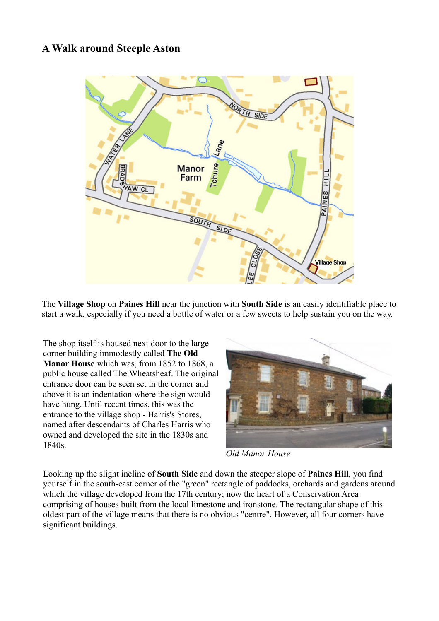## **A Walk around Steeple Aston**



The **Village Shop** on **Paines Hill** near the junction with **South Side** is an easily identifiable place to start a walk, especially if you need a bottle of water or a few sweets to help sustain you on the way.

The shop itself is housed next door to the large corner building immodestly called **The Old Manor House** which was, from 1852 to 1868, a public house called The Wheatsheaf. The original entrance door can be seen set in the corner and above it is an indentation where the sign would have hung. Until recent times, this was the entrance to the village shop - Harris's Stores, named after descendants of Charles Harris who owned and developed the site in the 1830s and 1840s.



*Old Manor House*

Looking up the slight incline of **South Side** and down the steeper slope of **Paines Hill**, you find yourself in the south-east corner of the "green" rectangle of paddocks, orchards and gardens around which the village developed from the 17th century; now the heart of a Conservation Area comprising of houses built from the local limestone and ironstone. The rectangular shape of this oldest part of the village means that there is no obvious "centre". However, all four corners have significant buildings.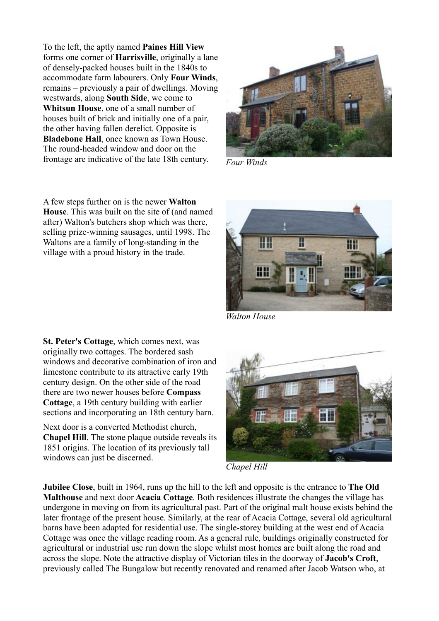To the left, the aptly named **Paines Hill View** forms one corner of **Harrisville**, originally a lane of densely-packed houses built in the 1840s to accommodate farm labourers. Only **Four Winds**, remains – previously a pair of dwellings. Moving westwards, along **South Side**, we come to **Whitsun House**, one of a small number of houses built of brick and initially one of a pair, the other having fallen derelict. Opposite is **Bladebone Hall**, once known as Town House. The round-headed window and door on the frontage are indicative of the late 18th century.



*Four Winds*

A few steps further on is the newer **Walton House**. This was built on the site of (and named after) Walton's butchers shop which was there, selling prize-winning sausages, until 1998. The Waltons are a family of long-standing in the village with a proud history in the trade.



*Walton House*

**St. Peter's Cottage**, which comes next, was originally two cottages. The bordered sash windows and decorative combination of iron and limestone contribute to its attractive early 19th century design. On the other side of the road there are two newer houses before **Compass Cottage**, a 19th century building with earlier sections and incorporating an 18th century barn.

Next door is a converted Methodist church, **Chapel Hill**. The stone plaque outside reveals its 1851 origins. The location of its previously tall windows can just be discerned.



*Chapel Hill*

**Jubilee Close**, built in 1964, runs up the hill to the left and opposite is the entrance to **The Old Malthouse** and next door **Acacia Cottage**. Both residences illustrate the changes the village has undergone in moving on from its agricultural past. Part of the original malt house exists behind the later frontage of the present house. Similarly, at the rear of Acacia Cottage, several old agricultural barns have been adapted for residential use. The single-storey building at the west end of Acacia Cottage was once the village reading room. As a general rule, buildings originally constructed for agricultural or industrial use run down the slope whilst most homes are built along the road and across the slope. Note the attractive display of Victorian tiles in the doorway of **Jacob's Croft**, previously called The Bungalow but recently renovated and renamed after Jacob Watson who, at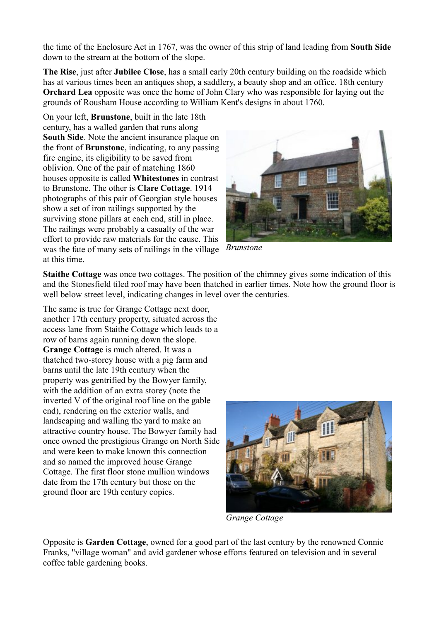the time of the Enclosure Act in 1767, was the owner of this strip of land leading from **South Side** down to the stream at the bottom of the slope.

**The Rise**, just after **Jubilee Close**, has a small early 20th century building on the roadside which has at various times been an antiques shop, a saddlery, a beauty shop and an office. 18th century **Orchard Lea** opposite was once the home of John Clary who was responsible for laying out the grounds of Rousham House according to William Kent's designs in about 1760.

On your left, **Brunstone**, built in the late 18th century, has a walled garden that runs along **South Side**. Note the ancient insurance plaque on the front of **Brunstone**, indicating, to any passing fire engine, its eligibility to be saved from oblivion. One of the pair of matching 1860 houses opposite is called **Whitestones** in contrast to Brunstone. The other is **Clare Cottage**. 1914 photographs of this pair of Georgian style houses show a set of iron railings supported by the surviving stone pillars at each end, still in place. The railings were probably a casualty of the war effort to provide raw materials for the cause. This was the fate of many sets of railings in the village at this time.



*Brunstone*

**Staithe Cottage** was once two cottages. The position of the chimney gives some indication of this and the Stonesfield tiled roof may have been thatched in earlier times. Note how the ground floor is well below street level, indicating changes in level over the centuries.

The same is true for Grange Cottage next door, another 17th century property, situated across the access lane from Staithe Cottage which leads to a row of barns again running down the slope. **Grange Cottage** is much altered. It was a thatched two-storey house with a pig farm and barns until the late 19th century when the property was gentrified by the Bowyer family, with the addition of an extra storey (note the inverted V of the original roof line on the gable end), rendering on the exterior walls, and landscaping and walling the yard to make an attractive country house. The Bowyer family had once owned the prestigious Grange on North Side and were keen to make known this connection and so named the improved house Grange Cottage. The first floor stone mullion windows date from the 17th century but those on the ground floor are 19th century copies.



*Grange Cottage*

Opposite is **Garden Cottage**, owned for a good part of the last century by the renowned Connie Franks, "village woman" and avid gardener whose efforts featured on television and in several coffee table gardening books.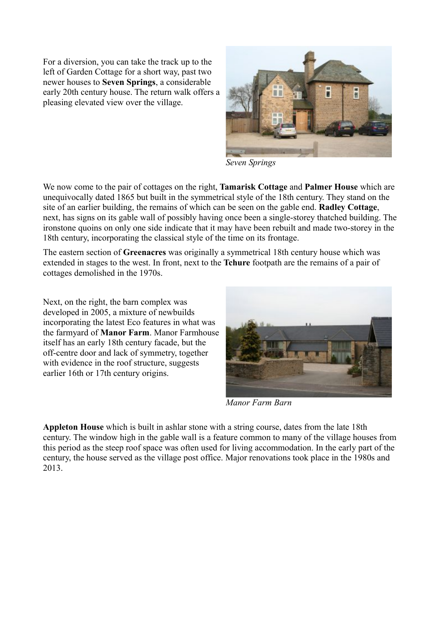For a diversion, you can take the track up to the left of Garden Cottage for a short way, past two newer houses to **Seven Springs**, a considerable early 20th century house. The return walk offers a pleasing elevated view over the village.



*Seven Springs*

We now come to the pair of cottages on the right, **Tamarisk Cottage** and **Palmer House** which are unequivocally dated 1865 but built in the symmetrical style of the 18th century. They stand on the site of an earlier building, the remains of which can be seen on the gable end. **Radley Cottage**, next, has signs on its gable wall of possibly having once been a single-storey thatched building. The ironstone quoins on only one side indicate that it may have been rebuilt and made two-storey in the 18th century, incorporating the classical style of the time on its frontage.

The eastern section of **Greenacres** was originally a symmetrical 18th century house which was extended in stages to the west. In front, next to the **Tchure** footpath are the remains of a pair of cottages demolished in the 1970s.

Next, on the right, the barn complex was developed in 2005, a mixture of newbuilds incorporating the latest Eco features in what was the farmyard of **Manor Farm**. Manor Farmhouse itself has an early 18th century facade, but the off-centre door and lack of symmetry, together with evidence in the roof structure, suggests earlier 16th or 17th century origins.



*Manor Farm Barn*

**Appleton House** which is built in ashlar stone with a string course, dates from the late 18th century. The window high in the gable wall is a feature common to many of the village houses from this period as the steep roof space was often used for living accommodation. In the early part of the century, the house served as the village post office. Major renovations took place in the 1980s and 2013.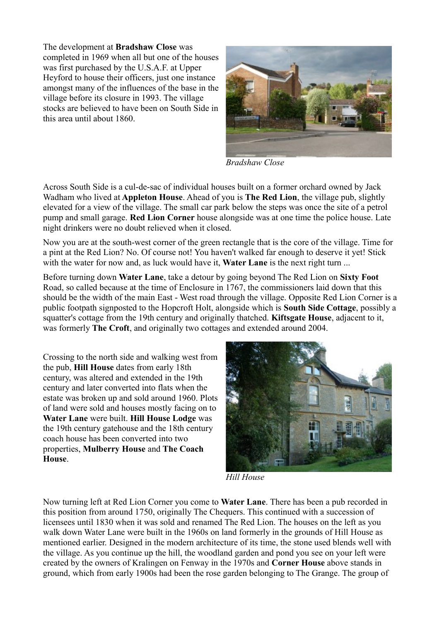The development at **Bradshaw Close** was completed in 1969 when all but one of the houses was first purchased by the U.S.A.F. at Upper Heyford to house their officers, just one instance amongst many of the influences of the base in the village before its closure in 1993. The village stocks are believed to have been on South Side in this area until about 1860.



*Bradshaw Close*

Across South Side is a cul-de-sac of individual houses built on a former orchard owned by Jack Wadham who lived at **Appleton House**. Ahead of you is **The Red Lion**, the village pub, slightly elevated for a view of the village. The small car park below the steps was once the site of a petrol pump and small garage. **Red Lion Corner** house alongside was at one time the police house. Late night drinkers were no doubt relieved when it closed.

Now you are at the south-west corner of the green rectangle that is the core of the village. Time for a pint at the Red Lion? No. Of course not! You haven't walked far enough to deserve it yet! Stick with the water for now and, as luck would have it. **Water Lane** is the next right turn ...

Before turning down **Water Lane**, take a detour by going beyond The Red Lion on **Sixty Foot** Road, so called because at the time of Enclosure in 1767, the commissioners laid down that this should be the width of the main East - West road through the village. Opposite Red Lion Corner is a public footpath signposted to the Hopcroft Holt, alongside which is **South Side Cottage**, possibly a squatter's cottage from the 19th century and originally thatched. **Kiftsgate House**, adjacent to it, was formerly **The Croft**, and originally two cottages and extended around 2004.

Crossing to the north side and walking west from the pub, **Hill House** dates from early 18th century, was altered and extended in the 19th century and later converted into flats when the estate was broken up and sold around 1960. Plots of land were sold and houses mostly facing on to **Water Lane** were built. **Hill House Lodge** was the 19th century gatehouse and the 18th century coach house has been converted into two properties, **Mulberry House** and **The Coach House**.



*Hill House*

Now turning left at Red Lion Corner you come to **Water Lane**. There has been a pub recorded in this position from around 1750, originally The Chequers. This continued with a succession of licensees until 1830 when it was sold and renamed The Red Lion. The houses on the left as you walk down Water Lane were built in the 1960s on land formerly in the grounds of Hill House as mentioned earlier. Designed in the modern architecture of its time, the stone used blends well with the village. As you continue up the hill, the woodland garden and pond you see on your left were created by the owners of Kralingen on Fenway in the 1970s and **Corner House** above stands in ground, which from early 1900s had been the rose garden belonging to The Grange. The group of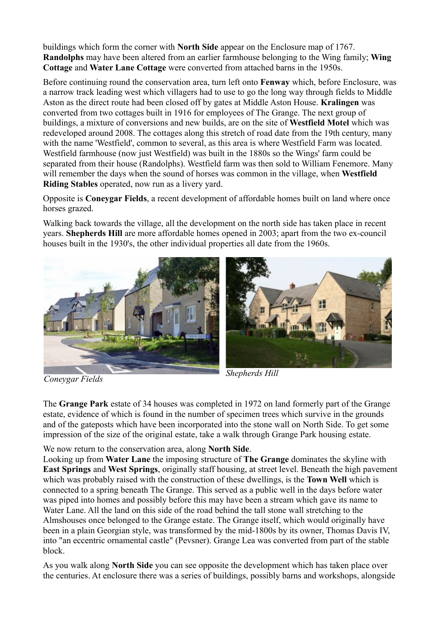buildings which form the corner with **North Side** appear on the Enclosure map of 1767. **Randolphs** may have been altered from an earlier farmhouse belonging to the Wing family; **Wing Cottage** and **Water Lane Cottage** were converted from attached barns in the 1950s.

Before continuing round the conservation area, turn left onto **Fenway** which, before Enclosure, was a narrow track leading west which villagers had to use to go the long way through fields to Middle Aston as the direct route had been closed off by gates at Middle Aston House. **Kralingen** was converted from two cottages built in 1916 for employees of The Grange. The next group of buildings, a mixture of conversions and new builds, are on the site of **Westfield Motel** which was redeveloped around 2008. The cottages along this stretch of road date from the 19th century, many with the name 'Westfield', common to several, as this area is where Westfield Farm was located. Westfield farmhouse (now just Westfield) was built in the 1880s so the Wings' farm could be separated from their house (Randolphs). Westfield farm was then sold to William Fenemore. Many will remember the days when the sound of horses was common in the village, when **Westfield Riding Stables** operated, now run as a livery yard.

Opposite is **Coneygar Fields**, a recent development of affordable homes built on land where once horses grazed.

Walking back towards the village, all the development on the north side has taken place in recent years. **Shepherds Hill** are more affordable homes opened in 2003; apart from the two ex-council houses built in the 1930's, the other individual properties all date from the 1960s.





The **Grange Park** estate of 34 houses was completed in 1972 on land formerly part of the Grange estate, evidence of which is found in the number of specimen trees which survive in the grounds and of the gateposts which have been incorporated into the stone wall on North Side. To get some impression of the size of the original estate, take a walk through Grange Park housing estate.

We now return to the conservation area, along **North Side**.

Looking up from **Water Lane** the imposing structure of **The Grange** dominates the skyline with **East Springs** and **West Springs**, originally staff housing, at street level. Beneath the high pavement which was probably raised with the construction of these dwellings, is the **Town Well** which is connected to a spring beneath The Grange. This served as a public well in the days before water was piped into homes and possibly before this may have been a stream which gave its name to Water Lane. All the land on this side of the road behind the tall stone wall stretching to the Almshouses once belonged to the Grange estate. The Grange itself, which would originally have been in a plain Georgian style, was transformed by the mid-1800s by its owner, Thomas Davis IV, into "an eccentric ornamental castle" (Pevsner). Grange Lea was converted from part of the stable block.

As you walk along **North Side** you can see opposite the development which has taken place over the centuries. At enclosure there was a series of buildings, possibly barns and workshops, alongside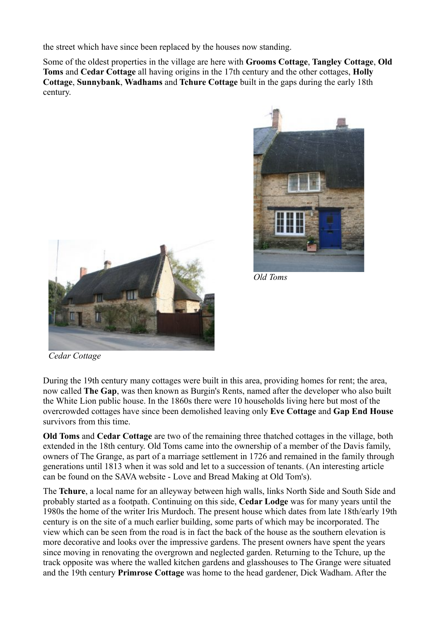the street which have since been replaced by the houses now standing.

Some of the oldest properties in the village are here with **Grooms Cottage**, **Tangley Cottage**, **Old Toms** and **Cedar Cottage** all having origins in the 17th century and the other cottages, **Holly Cottage**, **Sunnybank**, **Wadhams** and **Tchure Cottage** built in the gaps during the early 18th century.





*Old Toms*

*Cedar Cottage*

During the 19th century many cottages were built in this area, providing homes for rent; the area, now called **The Gap**, was then known as Burgin's Rents, named after the developer who also built the White Lion public house. In the 1860s there were 10 households living here but most of the overcrowded cottages have since been demolished leaving only **Eve Cottage** and **Gap End House** survivors from this time.

**Old Toms** and **Cedar Cottage** are two of the remaining three thatched cottages in the village, both extended in the 18th century. Old Toms came into the ownership of a member of the Davis family, owners of The Grange, as part of a marriage settlement in 1726 and remained in the family through generations until 1813 when it was sold and let to a succession of tenants. (An interesting article can be found on the SAVA website - Love and Bread Making at Old Tom's).

The **Tchure**, a local name for an alleyway between high walls, links North Side and South Side and probably started as a footpath. Continuing on this side, **Cedar Lodge** was for many years until the 1980s the home of the writer Iris Murdoch. The present house which dates from late 18th/early 19th century is on the site of a much earlier building, some parts of which may be incorporated. The view which can be seen from the road is in fact the back of the house as the southern elevation is more decorative and looks over the impressive gardens. The present owners have spent the years since moving in renovating the overgrown and neglected garden. Returning to the Tchure, up the track opposite was where the walled kitchen gardens and glasshouses to The Grange were situated and the 19th century **Primrose Cottage** was home to the head gardener, Dick Wadham. After the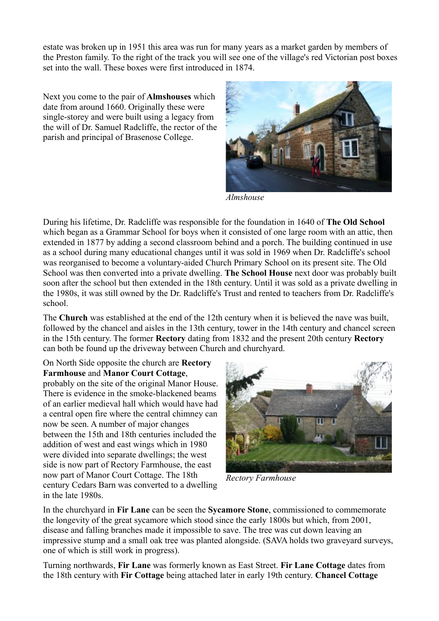estate was broken up in 1951 this area was run for many years as a market garden by members of the Preston family. To the right of the track you will see one of the village's red Victorian post boxes set into the wall. These boxes were first introduced in 1874.

Next you come to the pair of **Almshouses** which date from around 1660. Originally these were single-storey and were built using a legacy from the will of Dr. Samuel Radcliffe, the rector of the parish and principal of Brasenose College.



*Almshouse*

During his lifetime, Dr. Radcliffe was responsible for the foundation in 1640 of **The Old School** which began as a Grammar School for boys when it consisted of one large room with an attic, then extended in 1877 by adding a second classroom behind and a porch. The building continued in use as a school during many educational changes until it was sold in 1969 when Dr. Radcliffe's school was reorganised to become a voluntary-aided Church Primary School on its present site. The Old School was then converted into a private dwelling. **The School House** next door was probably built soon after the school but then extended in the 18th century. Until it was sold as a private dwelling in the 1980s, it was still owned by the Dr. Radcliffe's Trust and rented to teachers from Dr. Radcliffe's school.

The **Church** was established at the end of the 12th century when it is believed the nave was built, followed by the chancel and aisles in the 13th century, tower in the 14th century and chancel screen in the 15th century. The former **Rectory** dating from 1832 and the present 20th century **Rectory** can both be found up the driveway between Church and churchyard.

## On North Side opposite the church are **Rectory Farmhouse** and **Manor Court Cottage**,

probably on the site of the original Manor House. There is evidence in the smoke-blackened beams of an earlier medieval hall which would have had a central open fire where the central chimney can now be seen. A number of major changes between the 15th and 18th centuries included the addition of west and east wings which in 1980 were divided into separate dwellings; the west side is now part of Rectory Farmhouse, the east now part of Manor Court Cottage. The 18th century Cedars Barn was converted to a dwelling in the late 1980s.



*Rectory Farmhouse*

In the churchyard in **Fir Lane** can be seen the **Sycamore Stone**, commissioned to commemorate the longevity of the great sycamore which stood since the early 1800s but which, from 2001, disease and falling branches made it impossible to save. The tree was cut down leaving an impressive stump and a small oak tree was planted alongside. (SAVA holds two graveyard surveys, one of which is still work in progress).

Turning northwards, **Fir Lane** was formerly known as East Street. **Fir Lane Cottage** dates from the 18th century with **Fir Cottage** being attached later in early 19th century. **Chancel Cottage**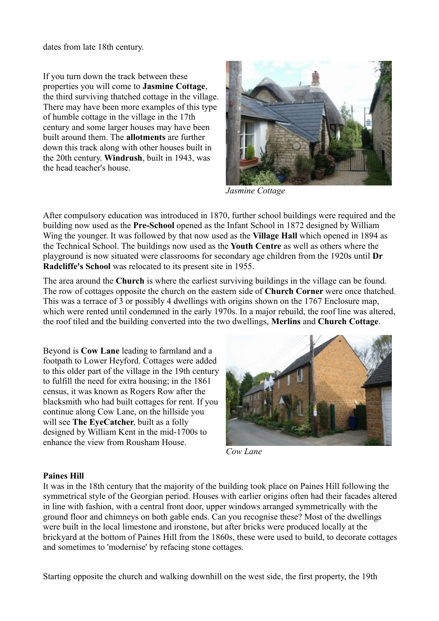dates from late 18th century.

If you turn down the track between these properties you will come to **Jasmine Cottage**, the third surviving thatched cottage in the village. There may have been more examples of this type of humble cottage in the village in the 17th century and some larger houses may have been built around them. The **allotments** are further down this track along with other houses built in the 20th century. **Windrush**, built in 1943, was the head teacher's house.



*Jasmine Cottage*

After compulsory education was introduced in 1870, further school buildings were required and the building now used as the **Pre-School** opened as the Infant School in 1872 designed by William Wing the younger. It was followed by that now used as the **Village Hall** which opened in 1894 as the Technical School. The buildings now used as the **Youth Centre** as well as others where the playground is now situated were classrooms for secondary age children from the 1920s until **Dr Radcliffe's School** was relocated to its present site in 1955.

The area around the **Church** is where the earliest surviving buildings in the village can be found. The row of cottages opposite the church on the eastern side of **Church Corner** were once thatched. This was a terrace of 3 or possibly 4 dwellings with origins shown on the 1767 Enclosure map, which were rented until condemned in the early 1970s. In a major rebuild, the roof line was altered, the roof tiled and the building converted into the two dwellings, **Merlins** and **Church Cottage**.

Beyond is **Cow Lane** leading to farmland and a footpath to Lower Heyford. Cottages were added to this older part of the village in the 19th century to fulfill the need for extra housing; in the 1861 census, it was known as Rogers Row after the blacksmith who had built cottages for rent. If you continue along Cow Lane, on the hillside you will see **The EyeCatcher**, built as a folly designed by William Kent in the mid-1700s to enhance the view from Rousham House.



*Cow Lane*

## **Paines Hill**

It was in the 18th century that the majority of the building took place on Paines Hill following the symmetrical style of the Georgian period. Houses with earlier origins often had their facades altered in line with fashion, with a central front door, upper windows arranged symmetrically with the ground floor and chimneys on both gable ends. Can you recognise these? Most of the dwellings were built in the local limestone and ironstone, but after bricks were produced locally at the brickyard at the bottom of Paines Hill from the 1860s, these were used to build, to decorate cottages and sometimes to 'modernise' by refacing stone cottages.

Starting opposite the church and walking downhill on the west side, the first property, the 19th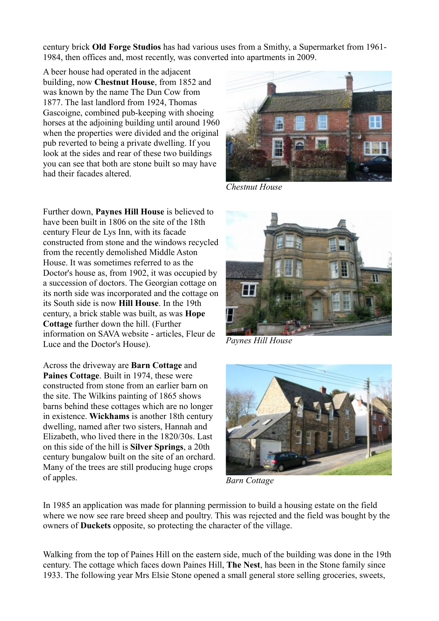century brick **Old Forge Studios** has had various uses from a Smithy, a Supermarket from 1961- 1984, then offices and, most recently, was converted into apartments in 2009.

A beer house had operated in the adjacent building, now **Chestnut House**, from 1852 and was known by the name The Dun Cow from 1877. The last landlord from 1924, Thomas Gascoigne, combined pub-keeping with shoeing horses at the adjoining building until around 1960 when the properties were divided and the original pub reverted to being a private dwelling. If you look at the sides and rear of these two buildings you can see that both are stone built so may have had their facades altered.

Further down, **Paynes Hill House** is believed to have been built in 1806 on the site of the 18th century Fleur de Lys Inn, with its facade constructed from stone and the windows recycled from the recently demolished Middle Aston House. It was sometimes referred to as the Doctor's house as, from 1902, it was occupied by a succession of doctors. The Georgian cottage on its north side was incorporated and the cottage on its South side is now **Hill House**. In the 19th century, a brick stable was built, as was **Hope Cottage** further down the hill. (Further information on SAVA website - articles, Fleur de Luce and the Doctor's House).

Across the driveway are **Barn Cottage** and **Paines Cottage**. Built in 1974, these were constructed from stone from an earlier barn on the site. The Wilkins painting of 1865 shows barns behind these cottages which are no longer in existence. **Wickhams** is another 18th century dwelling, named after two sisters, Hannah and Elizabeth, who lived there in the 1820/30s. Last on this side of the hill is **Silver Springs**, a 20th century bungalow built on the site of an orchard. Many of the trees are still producing huge crops of apples.



*Chestnut House*



*Paynes Hill House*



*Barn Cottage*

In 1985 an application was made for planning permission to build a housing estate on the field where we now see rare breed sheep and poultry. This was rejected and the field was bought by the owners of **Duckets** opposite, so protecting the character of the village.

Walking from the top of Paines Hill on the eastern side, much of the building was done in the 19th century. The cottage which faces down Paines Hill, **The Nest**, has been in the Stone family since 1933. The following year Mrs Elsie Stone opened a small general store selling groceries, sweets,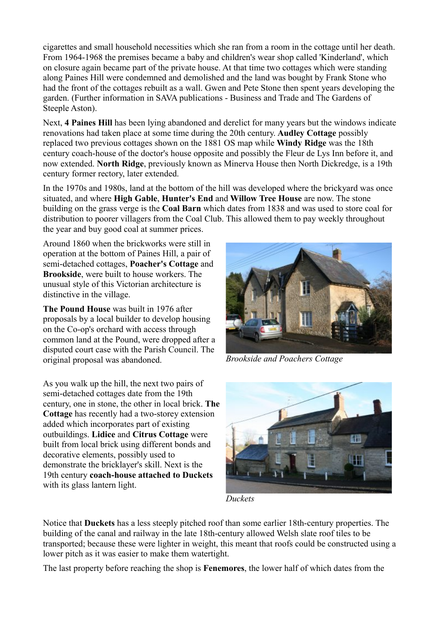cigarettes and small household necessities which she ran from a room in the cottage until her death. From 1964-1968 the premises became a baby and children's wear shop called 'Kinderland', which on closure again became part of the private house. At that time two cottages which were standing along Paines Hill were condemned and demolished and the land was bought by Frank Stone who had the front of the cottages rebuilt as a wall. Gwen and Pete Stone then spent years developing the garden. (Further information in SAVA publications - Business and Trade and The Gardens of Steeple Aston).

Next, **4 Paines Hill** has been lying abandoned and derelict for many years but the windows indicate renovations had taken place at some time during the 20th century. **Audley Cottage** possibly replaced two previous cottages shown on the 1881 OS map while **Windy Ridge** was the 18th century coach-house of the doctor's house opposite and possibly the Fleur de Lys Inn before it, and now extended. **North Ridge**, previously known as Minerva House then North Dickredge, is a 19th century former rectory, later extended.

In the 1970s and 1980s, land at the bottom of the hill was developed where the brickyard was once situated, and where **High Gable**, **Hunter's End** and **Willow Tree House** are now. The stone building on the grass verge is the **Coal Barn** which dates from 1838 and was used to store coal for distribution to poorer villagers from the Coal Club. This allowed them to pay weekly throughout the year and buy good coal at summer prices.

Around 1860 when the brickworks were still in operation at the bottom of Paines Hill, a pair of semi-detached cottages, **Poacher's Cottage** and **Brookside**, were built to house workers. The unusual style of this Victorian architecture is distinctive in the village.

**The Pound House** was built in 1976 after proposals by a local builder to develop housing on the Co-op's orchard with access through common land at the Pound, were dropped after a disputed court case with the Parish Council. The original proposal was abandoned.

As you walk up the hill, the next two pairs of semi-detached cottages date from the 19th century, one in stone, the other in local brick. **The Cottage** has recently had a two-storey extension added which incorporates part of existing outbuildings. **Lidice** and **Citrus Cottage** were built from local brick using different bonds and decorative elements, possibly used to demonstrate the bricklayer's skill. Next is the 19th century **coach-house attached to Duckets** with its glass lantern light.



*Brookside and Poachers Cottage*



*Duckets*

Notice that **Duckets** has a less steeply pitched roof than some earlier 18th-century properties. The building of the canal and railway in the late 18th-century allowed Welsh slate roof tiles to be transported; because these were lighter in weight, this meant that roofs could be constructed using a lower pitch as it was easier to make them watertight.

The last property before reaching the shop is **Fenemores**, the lower half of which dates from the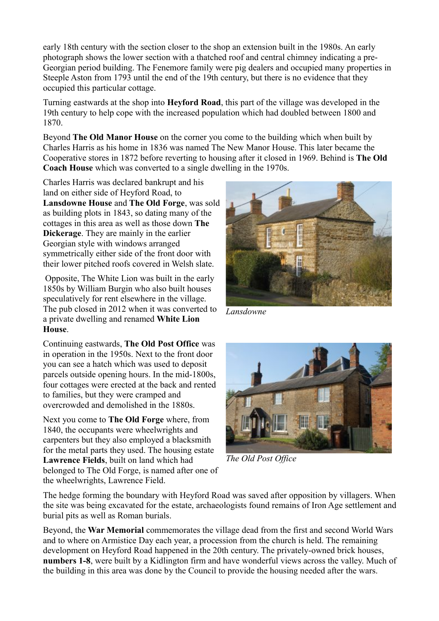early 18th century with the section closer to the shop an extension built in the 1980s. An early photograph shows the lower section with a thatched roof and central chimney indicating a pre-Georgian period building. The Fenemore family were pig dealers and occupied many properties in Steeple Aston from 1793 until the end of the 19th century, but there is no evidence that they occupied this particular cottage.

Turning eastwards at the shop into **Heyford Road**, this part of the village was developed in the 19th century to help cope with the increased population which had doubled between 1800 and 1870.

Beyond **The Old Manor House** on the corner you come to the building which when built by Charles Harris as his home in 1836 was named The New Manor House. This later became the Cooperative stores in 1872 before reverting to housing after it closed in 1969. Behind is **The Old Coach House** which was converted to a single dwelling in the 1970s.

Charles Harris was declared bankrupt and his land on either side of Heyford Road, to **Lansdowne House** and **The Old Forge**, was sold as building plots in 1843, so dating many of the cottages in this area as well as those down **The Dickerage**. They are mainly in the earlier Georgian style with windows arranged symmetrically either side of the front door with their lower pitched roofs covered in Welsh slate.

 Opposite, The White Lion was built in the early 1850s by William Burgin who also built houses speculatively for rent elsewhere in the village. The pub closed in 2012 when it was converted to a private dwelling and renamed **White Lion House**.

Continuing eastwards, **The Old Post Office** was in operation in the 1950s. Next to the front door you can see a hatch which was used to deposit parcels outside opening hours. In the mid-1800s, four cottages were erected at the back and rented to families, but they were cramped and overcrowded and demolished in the 1880s.

Next you come to **The Old Forge** where, from 1840, the occupants were wheelwrights and carpenters but they also employed a blacksmith for the metal parts they used. The housing estate **Lawrence Fields**, built on land which had belonged to The Old Forge, is named after one of the wheelwrights, Lawrence Field.



*Lansdowne*



*The Old Post Office*

The hedge forming the boundary with Heyford Road was saved after opposition by villagers. When the site was being excavated for the estate, archaeologists found remains of Iron Age settlement and burial pits as well as Roman burials.

Beyond, the **War Memorial** commemorates the village dead from the first and second World Wars and to where on Armistice Day each year, a procession from the church is held. The remaining development on Heyford Road happened in the 20th century. The privately-owned brick houses, **numbers 1-8**, were built by a Kidlington firm and have wonderful views across the valley. Much of the building in this area was done by the Council to provide the housing needed after the wars.